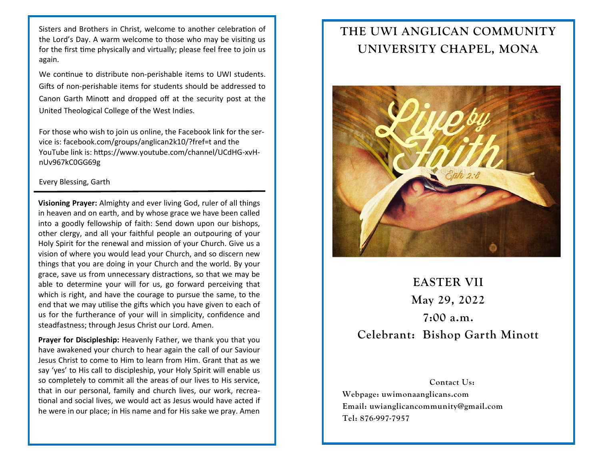Sisters and Brothers in Christ, welcome to another celebration of the Lord's Day. A warm welcome to those who may be visiting us for the first time physically and virtually; please feel free to join us again.

We continue to distribute non-perishable items to UWI students. Gifts of non-perishable items for students should be addressed to Canon Garth Minott and dropped off at the security post at the United Theological College of the West Indies.

For those who wish to join us online, the Facebook link for the service is: facebook.com/groups/anglican2k10/?fref=t and the YouTube link is: https://www.youtube.com/channel/UCdHG-xvHnUv967kC0GG69g

## Every Blessing, Garth

**Visioning Prayer:** Almighty and ever living God, ruler of all things in heaven and on earth, and by whose grace we have been called into a goodly fellowship of faith: Send down upon our bishops, other clergy, and all your faithful people an outpouring of your Holy Spirit for the renewal and mission of your Church. Give us a vision of where you would lead your Church, and so discern new things that you are doing in your Church and the world. By your grace, save us from unnecessary distractions, so that we may be able to determine your will for us, go forward perceiving that which is right, and have the courage to pursue the same, to the end that we may utilise the gifts which you have given to each of us for the furtherance of your will in simplicity, confidence and steadfastness; through Jesus Christ our Lord. Amen.

**Prayer for Discipleship:** Heavenly Father, we thank you that you have awakened your church to hear again the call of our Saviour Jesus Christ to come to Him to learn from Him. Grant that as we say 'yes' to His call to discipleship, your Holy Spirit will enable us so completely to commit all the areas of our lives to His service, that in our personal, family and church lives, our work, recreational and social lives, we would act as Jesus would have acted if he were in our place; in His name and for His sake we pray. Amen

## **THE UWI ANGLICAN COMMUNITY UNIVERSITY CHAPEL, MONA**



## **EASTER VII May 29, 2022 7:00 a.m. Celebrant: Bishop Garth Minott**

**Contact Us: Webpage: uwimonaanglicans.com Email: uwianglicancommunity@gmail.com Tel: 876-997-7957**